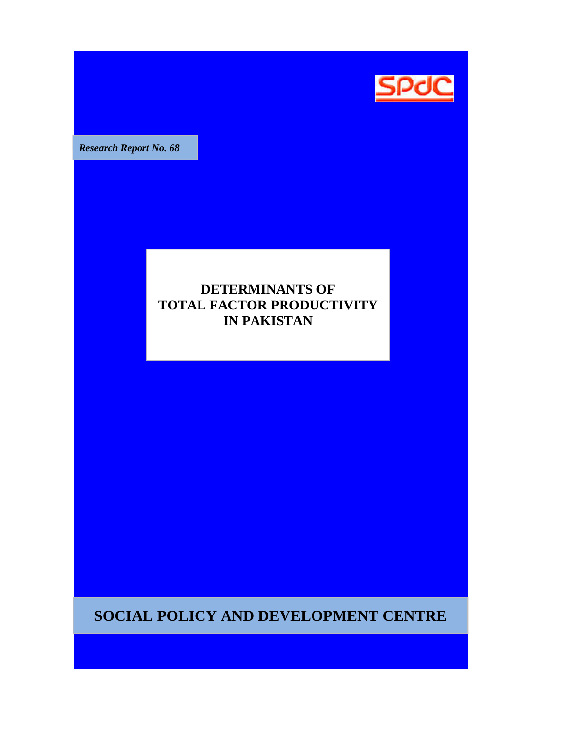

**Research Report No. 68** 

# **DETERMINANTS OF TOTAL FACTOR PRODUCTIVITY IN PAKISTAN**

**SOCIAL POLICY AND DEVELOPMENT CENTRE**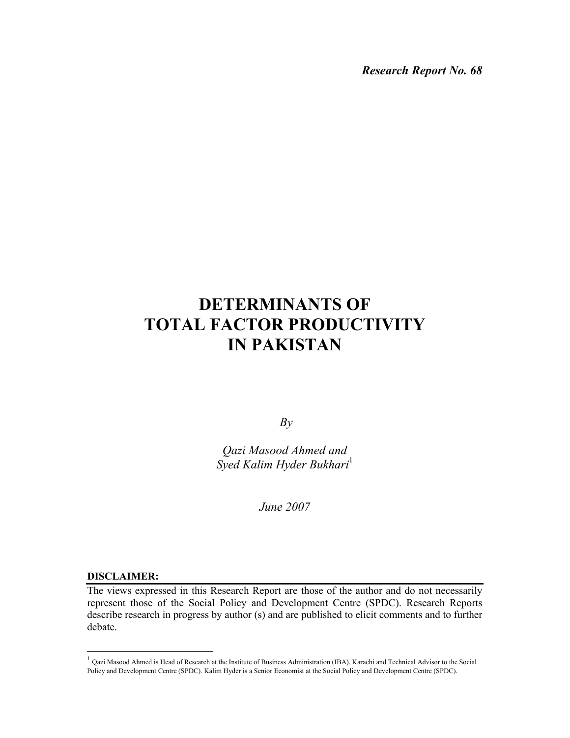*Research Report No. 68* 

# **DETERMINANTS OF TOTAL FACTOR PRODUCTIVITY IN PAKISTAN**

*By* 

*Qazi Masood Ahmed and Syed Kalim Hyder Bukhari*<sup>1</sup>

*June 2007* 

#### **DISCLAIMER:**

 $\overline{a}$ 

The views expressed in this Research Report are those of the author and do not necessarily represent those of the Social Policy and Development Centre (SPDC). Research Reports describe research in progress by author (s) and are published to elicit comments and to further debate.

 $1$  Qazi Masood Ahmed is Head of Research at the Institute of Business Administration (IBA), Karachi and Technical Advisor to the Social Policy and Development Centre (SPDC). Kalim Hyder is a Senior Economist at the Social Policy and Development Centre (SPDC).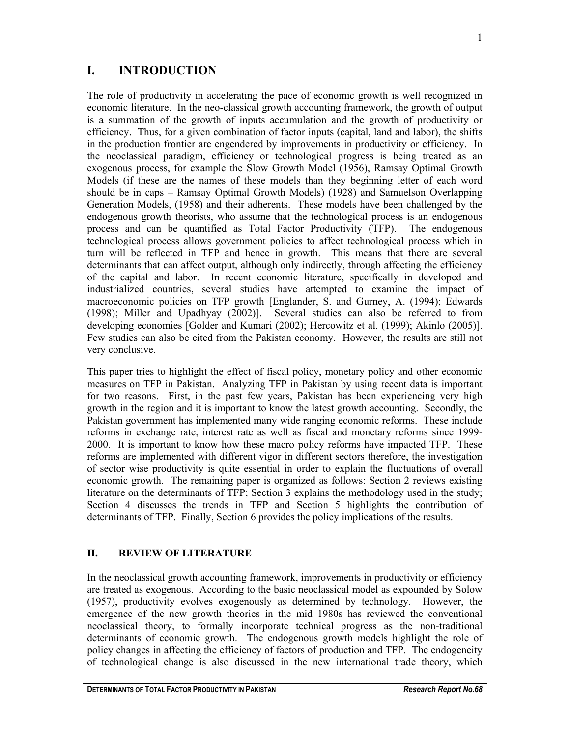# **I. INTRODUCTION**

The role of productivity in accelerating the pace of economic growth is well recognized in economic literature. In the neo-classical growth accounting framework, the growth of output is a summation of the growth of inputs accumulation and the growth of productivity or efficiency. Thus, for a given combination of factor inputs (capital, land and labor), the shifts in the production frontier are engendered by improvements in productivity or efficiency. In the neoclassical paradigm, efficiency or technological progress is being treated as an exogenous process, for example the Slow Growth Model (1956), Ramsay Optimal Growth Models (if these are the names of these models than they beginning letter of each word should be in caps – Ramsay Optimal Growth Models) (1928) and Samuelson Overlapping Generation Models, (1958) and their adherents. These models have been challenged by the endogenous growth theorists, who assume that the technological process is an endogenous process and can be quantified as Total Factor Productivity (TFP). The endogenous technological process allows government policies to affect technological process which in turn will be reflected in TFP and hence in growth. This means that there are several determinants that can affect output, although only indirectly, through affecting the efficiency of the capital and labor. In recent economic literature, specifically in developed and industrialized countries, several studies have attempted to examine the impact of macroeconomic policies on TFP growth [Englander, S. and Gurney, A. (1994); Edwards (1998); Miller and Upadhyay (2002)]. Several studies can also be referred to from developing economies [Golder and Kumari (2002); Hercowitz et al. (1999); Akinlo (2005)]. Few studies can also be cited from the Pakistan economy. However, the results are still not very conclusive.

This paper tries to highlight the effect of fiscal policy, monetary policy and other economic measures on TFP in Pakistan. Analyzing TFP in Pakistan by using recent data is important for two reasons. First, in the past few years, Pakistan has been experiencing very high growth in the region and it is important to know the latest growth accounting. Secondly, the Pakistan government has implemented many wide ranging economic reforms. These include reforms in exchange rate, interest rate as well as fiscal and monetary reforms since 1999- 2000. It is important to know how these macro policy reforms have impacted TFP. These reforms are implemented with different vigor in different sectors therefore, the investigation of sector wise productivity is quite essential in order to explain the fluctuations of overall economic growth. The remaining paper is organized as follows: Section 2 reviews existing literature on the determinants of TFP; Section 3 explains the methodology used in the study; Section 4 discusses the trends in TFP and Section 5 highlights the contribution of determinants of TFP. Finally, Section 6 provides the policy implications of the results.

# **II. REVIEW OF LITERATURE**

In the neoclassical growth accounting framework, improvements in productivity or efficiency are treated as exogenous. According to the basic neoclassical model as expounded by Solow (1957), productivity evolves exogenously as determined by technology. However, the emergence of the new growth theories in the mid 1980s has reviewed the conventional neoclassical theory, to formally incorporate technical progress as the non-traditional determinants of economic growth. The endogenous growth models highlight the role of policy changes in affecting the efficiency of factors of production and TFP. The endogeneity of technological change is also discussed in the new international trade theory, which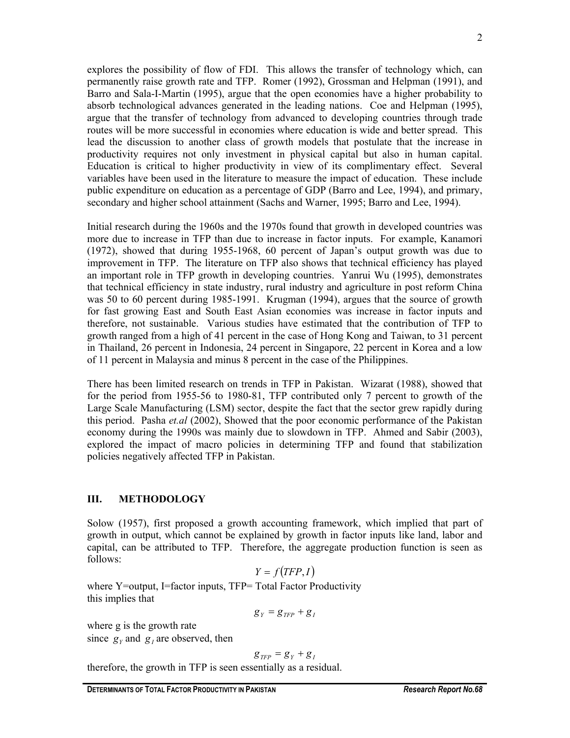2

explores the possibility of flow of FDI. This allows the transfer of technology which, can permanently raise growth rate and TFP. Romer (1992), Grossman and Helpman (1991), and Barro and Sala-I-Martin (1995), argue that the open economies have a higher probability to absorb technological advances generated in the leading nations. Coe and Helpman (1995), argue that the transfer of technology from advanced to developing countries through trade routes will be more successful in economies where education is wide and better spread. This lead the discussion to another class of growth models that postulate that the increase in productivity requires not only investment in physical capital but also in human capital. Education is critical to higher productivity in view of its complimentary effect. Several variables have been used in the literature to measure the impact of education. These include public expenditure on education as a percentage of GDP (Barro and Lee, 1994), and primary, secondary and higher school attainment (Sachs and Warner, 1995; Barro and Lee, 1994).

Initial research during the 1960s and the 1970s found that growth in developed countries was more due to increase in TFP than due to increase in factor inputs. For example, Kanamori (1972), showed that during 1955-1968, 60 percent of Japan's output growth was due to improvement in TFP. The literature on TFP also shows that technical efficiency has played an important role in TFP growth in developing countries. Yanrui Wu (1995), demonstrates that technical efficiency in state industry, rural industry and agriculture in post reform China was 50 to 60 percent during 1985-1991. Krugman (1994), argues that the source of growth for fast growing East and South East Asian economies was increase in factor inputs and therefore, not sustainable. Various studies have estimated that the contribution of TFP to growth ranged from a high of 41 percent in the case of Hong Kong and Taiwan, to 31 percent in Thailand, 26 percent in Indonesia, 24 percent in Singapore, 22 percent in Korea and a low of 11 percent in Malaysia and minus 8 percent in the case of the Philippines.

There has been limited research on trends in TFP in Pakistan. Wizarat (1988), showed that for the period from 1955-56 to 1980-81, TFP contributed only 7 percent to growth of the Large Scale Manufacturing (LSM) sector, despite the fact that the sector grew rapidly during this period. Pasha *et.al* (2002), Showed that the poor economic performance of the Pakistan economy during the 1990s was mainly due to slowdown in TFP. Ahmed and Sabir (2003), explored the impact of macro policies in determining TFP and found that stabilization policies negatively affected TFP in Pakistan.

# **III. METHODOLOGY**

Solow (1957), first proposed a growth accounting framework, which implied that part of growth in output, which cannot be explained by growth in factor inputs like land, labor and capital, can be attributed to TFP. Therefore, the aggregate production function is seen as follows:

$$
Y = f(TFP, I)
$$

where Y=output, I=factor inputs, TFP= Total Factor Productivity this implies that

$$
g_Y = g_{TFP} + g_I
$$

where g is the growth rate since  $g_y$  and  $g_t$  are observed, then

$$
g_{TFP} = g_Y + g_I
$$

therefore, the growth in TFP is seen essentially as a residual.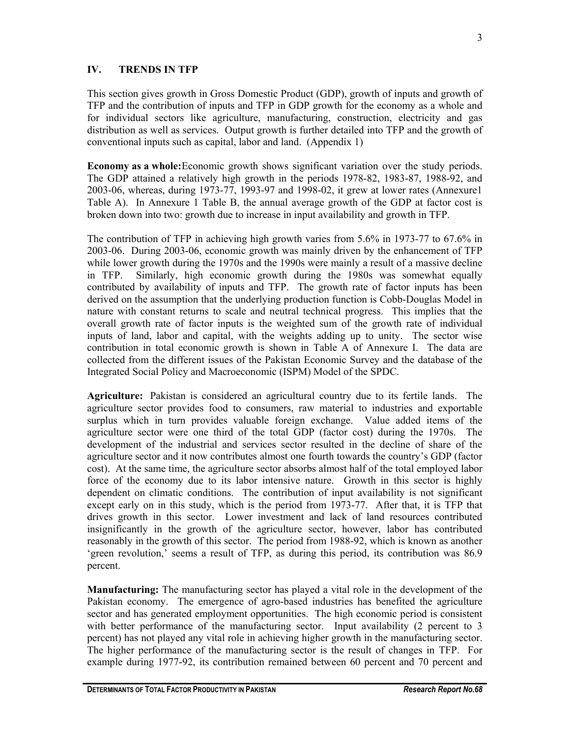# **IV. TRENDS IN TFP**

This section gives growth in Gross Domestic Product (GDP), growth of inputs and growth of TFP and the contribution of inputs and TFP in GDP growth for the economy as a whole and for individual sectors like agriculture, manufacturing, construction, electricity and gas distribution as well as services. Output growth is further detailed into TFP and the growth of conventional inputs such as capital, labor and land. (Appendix 1)

**Economy as a whole:** Economic growth shows significant variation over the study periods. The GDP attained a relatively high growth in the periods 1978-82, 1983-87, 1988-92, and 2003-06, whereas, during 1973-77, 1993-97 and 1998-02, it grew at lower rates (Annexure1 Table A). In Annexure 1 Table B, the annual average growth of the GDP at factor cost is broken down into two: growth due to increase in input availability and growth in TFP.

The contribution of TFP in achieving high growth varies from 5.6% in 1973-77 to 67.6% in 2003-06. During 2003-06, economic growth was mainly driven by the enhancement of TFP while lower growth during the 1970s and the 1990s were mainly a result of a massive decline in TFP. Similarly, high economic growth during the 1980s was somewhat equally contributed by availability of inputs and TFP. The growth rate of factor inputs has been derived on the assumption that the underlying production function is Cobb-Douglas Model in nature with constant returns to scale and neutral technical progress. This implies that the overall growth rate of factor inputs is the weighted sum of the growth rate of individual inputs of land, labor and capital, with the weights adding up to unity. The sector wise contribution in total economic growth is shown in Table A of Annexure I. The data are collected from the different issues of the Pakistan Economic Survey and the database of the Integrated Social Policy and Macroeconomic (ISPM) Model of the SPDC.

**Agriculture:** Pakistan is considered an agricultural country due to its fertile lands. The agriculture sector provides food to consumers, raw material to industries and exportable surplus which in turn provides valuable foreign exchange. Value added items of the agriculture sector were one third of the total GDP (factor cost) during the 1970s. The development of the industrial and services sector resulted in the decline of share of the agriculture sector and it now contributes almost one fourth towards the country's GDP (factor cost). At the same time, the agriculture sector absorbs almost half of the total employed labor force of the economy due to its labor intensive nature. Growth in this sector is highly dependent on climatic conditions. The contribution of input availability is not significant except early on in this study, which is the period from 1973-77. After that, it is TFP that drives growth in this sector. Lower investment and lack of land resources contributed insignificantly in the growth of the agriculture sector, however, labor has contributed reasonably in the growth of this sector. The period from 1988-92, which is known as another 'green revolution,' seems a result of TFP, as during this period, its contribution was 86.9 percent.

**Manufacturing:** The manufacturing sector has played a vital role in the development of the Pakistan economy. The emergence of agro-based industries has benefited the agriculture sector and has generated employment opportunities. The high economic period is consistent with better performance of the manufacturing sector. Input availability (2 percent to 3 percent) has not played any vital role in achieving higher growth in the manufacturing sector. The higher performance of the manufacturing sector is the result of changes in TFP. For example during 1977-92, its contribution remained between 60 percent and 70 percent and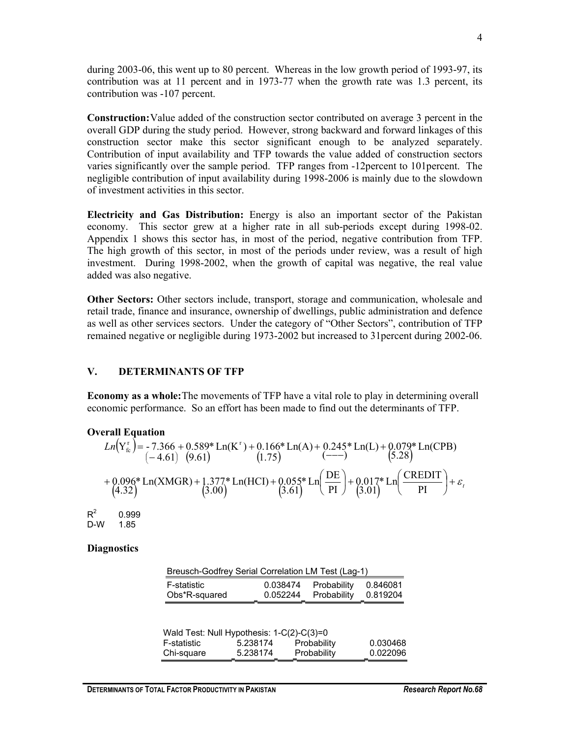during 2003-06, this went up to 80 percent. Whereas in the low growth period of 1993-97, its contribution was at 11 percent and in 1973-77 when the growth rate was 1.3 percent, its contribution was -107 percent.

**Construction:** Value added of the construction sector contributed on average 3 percent in the overall GDP during the study period. However, strong backward and forward linkages of this construction sector make this sector significant enough to be analyzed separately. Contribution of input availability and TFP towards the value added of construction sectors varies significantly over the sample period. TFP ranges from -12percent to 101percent. The negligible contribution of input availability during 1998-2006 is mainly due to the slowdown of investment activities in this sector.

**Electricity and Gas Distribution:** Energy is also an important sector of the Pakistan economy. This sector grew at a higher rate in all sub-periods except during 1998-02. Appendix 1 shows this sector has, in most of the period, negative contribution from TFP. The high growth of this sector, in most of the periods under review, was a result of high investment. During 1998-2002, when the growth of capital was negative, the real value added was also negative.

**Other Sectors:** Other sectors include, transport, storage and communication, wholesale and retail trade, finance and insurance, ownership of dwellings, public administration and defence as well as other services sectors. Under the category of "Other Sectors", contribution of TFP remained negative or negligible during 1973-2002 but increased to 31percent during 2002-06.

### **V. DETERMINANTS OF TFP**

**Economy as a whole:** The movements of TFP have a vital role to play in determining overall economic performance. So an effort has been made to find out the determinants of TFP.

# **Overall Equation**

$$
Ln(Y_{fc}^{r}) = -7.366 + 0.589 * Ln(K^{r}) + 0.166 * Ln(A) + 0.245 * Ln(L) + 0.079 * Ln(CPB)
$$
  
\n
$$
(-4.61) (9.61) (1.75)
$$
  
\n
$$
+ 0.096 * Ln(XMGR) + 1.377 * Ln(HCI) + 0.055 * Ln(\frac{DE}{PI}) + 0.017 * Ln(\frac{CREDIT}{PI}) + \varepsilon_{1}
$$
  
\n
$$
(4.32)
$$

 $R^2$  0.999 D-W 1.85

#### **Diagnostics**

| Breusch-Godfrey Serial Correlation LM Test (Lag-1) |          |             |          |  |  |  |
|----------------------------------------------------|----------|-------------|----------|--|--|--|
| F-statistic                                        | 0.038474 | Probability | 0.846081 |  |  |  |
| Obs*R-squared                                      | 0.052244 | Probability | 0.819204 |  |  |  |

| Wald Test: Null Hypothesis: 1-C(2)-C(3)=0 |          |             |          |  |  |  |  |
|-------------------------------------------|----------|-------------|----------|--|--|--|--|
| F-statistic                               | 5.238174 | Probability | 0.030468 |  |  |  |  |
| Chi-square                                | 5.238174 | Probability | 0.022096 |  |  |  |  |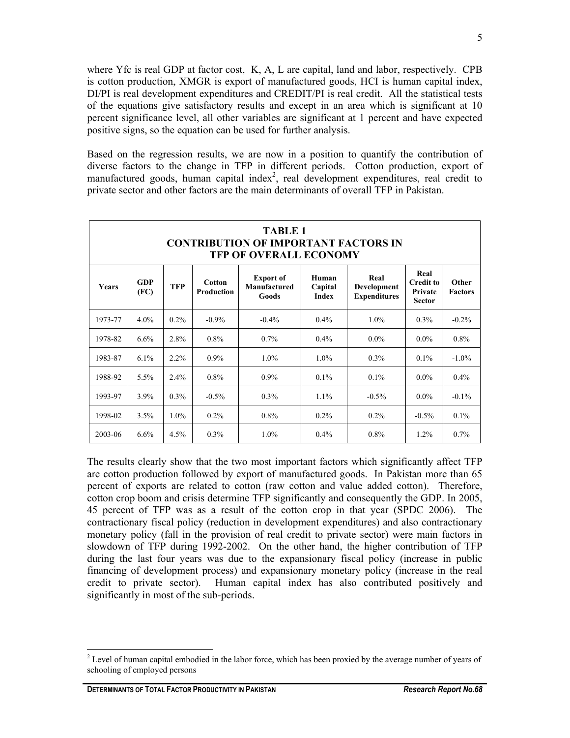where Yfc is real GDP at factor cost, K, A, L are capital, land and labor, respectively. CPB is cotton production, XMGR is export of manufactured goods, HCI is human capital index, DI/PI is real development expenditures and CREDIT/PI is real credit. All the statistical tests of the equations give satisfactory results and except in an area which is significant at 10 percent significance level, all other variables are significant at 1 percent and have expected positive signs, so the equation can be used for further analysis.

Based on the regression results, we are now in a position to quantify the contribution of diverse factors to the change in TFP in different periods. Cotton production, export of manufactured goods, human capital index<sup>2</sup>, real development expenditures, real credit to private sector and other factors are the main determinants of overall TFP in Pakistan.

| <b>TABLE 1</b><br><b>CONTRIBUTION OF IMPORTANT FACTORS IN</b><br><b>TFP OF OVERALL ECONOMY</b> |                    |            |                             |                                           |                                  |                                            |                                                      |                         |  |
|------------------------------------------------------------------------------------------------|--------------------|------------|-----------------------------|-------------------------------------------|----------------------------------|--------------------------------------------|------------------------------------------------------|-------------------------|--|
| <b>Years</b>                                                                                   | <b>GDP</b><br>(FC) | <b>TFP</b> | <b>Cotton</b><br>Production | <b>Export of</b><br>Manufactured<br>Goods | Human<br>Capital<br><b>Index</b> | Real<br>Development<br><b>Expenditures</b> | Real<br><b>Credit to</b><br>Private<br><b>Sector</b> | Other<br><b>Factors</b> |  |
| 1973-77                                                                                        | $4.0\%$            | $0.2\%$    | $-0.9\%$                    | $-0.4\%$                                  | $0.4\%$                          | $1.0\%$                                    | $0.3\%$                                              | $-0.2\%$                |  |
| 1978-82                                                                                        | 6.6%               | 2.8%       | $0.8\%$                     | $0.7\%$                                   | $0.4\%$                          | $0.0\%$                                    | $0.0\%$                                              | $0.8\%$                 |  |
| 1983-87                                                                                        | 6.1%               | $2.2\%$    | $0.9\%$                     | $1.0\%$                                   | $1.0\%$                          | $0.3\%$                                    | $0.1\%$                                              | $-1.0\%$                |  |
| 1988-92                                                                                        | 5.5%               | $2.4\%$    | 0.8%                        | $0.9\%$                                   | $0.1\%$                          | $0.1\%$                                    | $0.0\%$                                              | $0.4\%$                 |  |
| 1993-97                                                                                        | 3.9%               | $0.3\%$    | $-0.5\%$                    | $0.3\%$                                   | $1.1\%$                          | $-0.5\%$                                   | $0.0\%$                                              | $-0.1\%$                |  |
| 1998-02                                                                                        | 3.5%               | $1.0\%$    | $0.2\%$                     | $0.8\%$                                   | $0.2\%$                          | $0.2\%$                                    | $-0.5\%$                                             | $0.1\%$                 |  |
| 2003-06                                                                                        | $6.6\%$            | $4.5\%$    | 0.3%                        | $1.0\%$                                   | $0.4\%$                          | $0.8\%$                                    | $1.2\%$                                              | $0.7\%$                 |  |

The results clearly show that the two most important factors which significantly affect TFP are cotton production followed by export of manufactured goods. In Pakistan more than 65 percent of exports are related to cotton (raw cotton and value added cotton). Therefore, cotton crop boom and crisis determine TFP significantly and consequently the GDP. In 2005, 45 percent of TFP was as a result of the cotton crop in that year (SPDC 2006). The contractionary fiscal policy (reduction in development expenditures) and also contractionary monetary policy (fall in the provision of real credit to private sector) were main factors in slowdown of TFP during 1992-2002. On the other hand, the higher contribution of TFP during the last four years was due to the expansionary fiscal policy (increase in public financing of development process) and expansionary monetary policy (increase in the real credit to private sector). Human capital index has also contributed positively and significantly in most of the sub-periods.

 $\overline{a}$  $2^{2}$  Level of human capital embodied in the labor force, which has been proxied by the average number of years of schooling of employed persons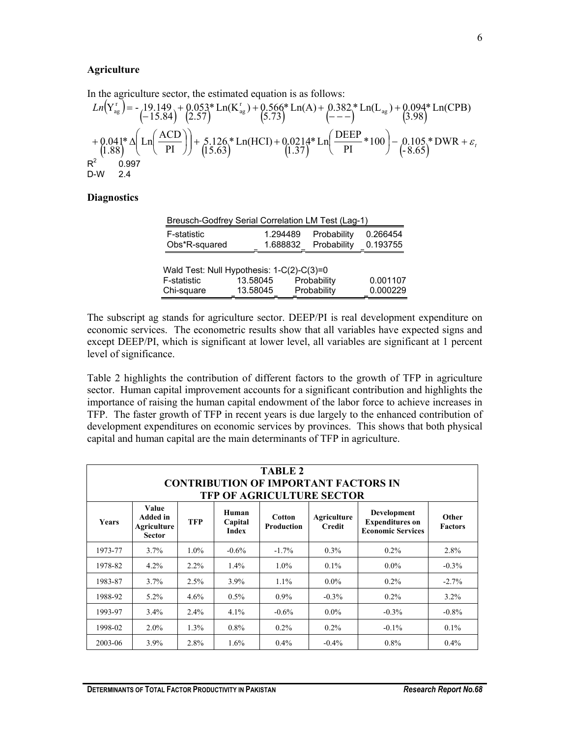#### **Agriculture**

In the agriculture sector, the estimated equation is as follows:

$$
Ln(Y_{ag}^{r}) = -\frac{19.149 + 0.053}{(-15.84)} + \frac{0.053}{(2.57)} + \frac{0.566}{(5.73)} + \frac{0.382}{(- - -)} + \frac{ln(L_{ag}) + 0.094}{(3.98)} + \frac{0.094}{(3.98)} + \frac{0.041}{(1.88)} + \frac{0.041}{(1.88)} + \frac{0.041}{(1.88)} + \frac{0.041}{(1.88)} + \frac{0.126}{(1.563)} + \frac{ln(HCI) + 0.0214}{(1.37)} + \frac{0.0214}{(1.37)} + \frac{0.094}{(1.37)} + \frac{0.094}{(1.865)} + \frac{0.0987}{(1.865)} + \frac{0.0987}{(1.88)} + \frac{0.0987}{(1.88)} + \frac{0.0987}{(1.88)} + \frac{0.0987}{(1.88)} + \frac{0.0987}{(1.88)} + \frac{0.0987}{(1.88)} + \frac{0.0987}{(1.88)} + \frac{0.0987}{(1.88)} + \frac{0.0987}{(1.88)} + \frac{0.0987}{(1.88)} + \frac{0.0987}{(1.88)} + \frac{0.0987}{(1.88)} + \frac{0.0987}{(1.88)} + \frac{0.0987}{(1.88)} + \frac{0.0987}{(1.88)} + \frac{0.0987}{(1.88)} + \frac{0.0987}{(1.88)} + \frac{0.0987}{(1.88)} + \frac{0.0987}{(1.88)} + \frac{0.0987}{(1.88)} + \frac{0.0987}{(1.88)} + \frac{0.0987}{(1.88)} + \frac{0.0987}{(1.88)} + \frac{0.0987}{(1.88)} + \frac{0.0987}{(1.88)} + \frac{0.0987}{(1.88)} + \frac{0.0987}{(1.88)} + \frac{0.098
$$

#### **Diagnostics**

|                    | Breusch-Godfrey Serial Correlation LM Test (Lag-1) |             |          |
|--------------------|----------------------------------------------------|-------------|----------|
| <b>F-statistic</b> | 1.294489                                           | Probability | 0.266454 |
| Obs*R-squared      | 1.688832                                           | Probability | 0.193755 |
|                    |                                                    |             |          |
|                    | Wald Test: Null Hypothesis: 1-C(2)-C(3)=0          |             |          |
| F-statistic        | 13.58045                                           | Probability |          |
| Chi-square         | 13.58045                                           | Probability | 0.000229 |

The subscript ag stands for agriculture sector. DEEP/PI is real development expenditure on economic services. The econometric results show that all variables have expected signs and except DEEP/PI, which is significant at lower level, all variables are significant at 1 percent level of significance.

Table 2 highlights the contribution of different factors to the growth of TFP in agriculture sector. Human capital improvement accounts for a significant contribution and highlights the importance of raising the human capital endowment of the labor force to achieve increases in TFP. The faster growth of TFP in recent years is due largely to the enhanced contribution of development expenditures on economic services by provinces. This shows that both physical capital and human capital are the main determinants of TFP in agriculture.

| <b>TABLE 2</b><br><b>CONTRIBUTION OF IMPORTANT FACTORS IN</b><br><b>TFP OF AGRICULTURE SECTOR</b> |                                                   |            |                                  |                             |                              |                                                                   |                         |  |  |
|---------------------------------------------------------------------------------------------------|---------------------------------------------------|------------|----------------------------------|-----------------------------|------------------------------|-------------------------------------------------------------------|-------------------------|--|--|
| <b>Years</b>                                                                                      | Value<br>Added in<br>Agriculture<br><b>Sector</b> | <b>TFP</b> | Human<br>Capital<br><b>Index</b> | Cotton<br><b>Production</b> | Agriculture<br><b>Credit</b> | Development<br><b>Expenditures on</b><br><b>Economic Services</b> | Other<br><b>Factors</b> |  |  |
| 1973-77                                                                                           | $3.7\%$                                           | $1.0\%$    | $-0.6\%$                         | $-1.7\%$                    | $0.3\%$                      | $0.2\%$                                                           | 2.8%                    |  |  |
| 1978-82                                                                                           | $4.2\%$                                           | $2.2\%$    | $1.4\%$                          | $1.0\%$                     | $0.1\%$                      | $0.0\%$                                                           | $-0.3\%$                |  |  |
| 1983-87                                                                                           | $3.7\%$                                           | 2.5%       | 3.9%                             | $1.1\%$                     | $0.0\%$                      | $0.2\%$                                                           | $-2.7\%$                |  |  |
| 1988-92                                                                                           | $5.2\%$                                           | 4.6%       | $0.5\%$                          | $0.9\%$                     | $-0.3\%$                     | $0.2\%$                                                           | $3.2\%$                 |  |  |
| 1993-97                                                                                           | $3.4\%$                                           | 2.4%       | 4.1%                             | $-0.6\%$                    | $0.0\%$                      | $-0.3\%$                                                          | $-0.8%$                 |  |  |
| 1998-02                                                                                           | $2.0\%$                                           | 1.3%       | $0.8\%$                          | $0.2\%$                     | $0.2\%$                      | $-0.1\%$                                                          | $0.1\%$                 |  |  |
| 2003-06                                                                                           | $3.9\%$                                           | 2.8%       | $1.6\%$                          | $0.4\%$                     | $-0.4\%$                     | $0.8\%$                                                           | $0.4\%$                 |  |  |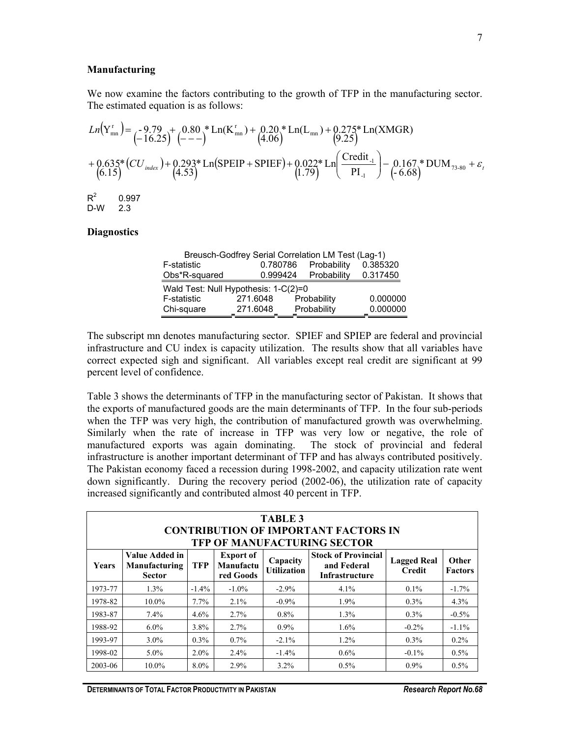#### **Manufacturing**

 $\mathcal{L}$ 

We now examine the factors contributing to the growth of TFP in the manufacturing sector. The estimated equation is as follows:

$$
Ln(Ymnr) = -9.79 + 0.80 * Ln(Kmnr) + 0.20 * Ln(Lmn) + 0.275 * Ln(XMGR)
$$
  
+ 0.635 \* (CU<sub>index</sub>) + 0.293 \* Ln(SPEIP + SPIEF) + 0.022 \* Ln( $\frac{Credit_{-1}}{PI_{-1}}$ ) - 0.167 \* DUM<sub>73-80</sub> +  $\varepsilon$ <sub>t</sub>  
(6.15)  
R<sup>2</sup> 0.997  
D-W 2.3

#### **Diagnostics**

| Breusch-Godfrey Serial Correlation LM Test (Lag-1) |          |             |          |  |  |  |  |  |
|----------------------------------------------------|----------|-------------|----------|--|--|--|--|--|
| F-statistic                                        | 0.780786 | Probability | 0.385320 |  |  |  |  |  |
| Obs*R-squared                                      | 0.999424 | Probability | 0.317450 |  |  |  |  |  |
| Wald Test: Null Hypothesis: 1-C(2)=0               |          |             |          |  |  |  |  |  |
| F-statistic                                        | 271.6048 | Probability | 0.000000 |  |  |  |  |  |
| Chi-square                                         | 271.6048 | Probability | 0.000000 |  |  |  |  |  |

The subscript mn denotes manufacturing sector. SPIEF and SPIEP are federal and provincial infrastructure and CU index is capacity utilization. The results show that all variables have correct expected sigh and significant. All variables except real credit are significant at 99 percent level of confidence.

Table 3 shows the determinants of TFP in the manufacturing sector of Pakistan. It shows that the exports of manufactured goods are the main determinants of TFP. In the four sub-periods when the TFP was very high, the contribution of manufactured growth was overwhelming. Similarly when the rate of increase in TFP was very low or negative, the role of manufactured exports was again dominating. The stock of provincial and federal infrastructure is another important determinant of TFP and has always contributed positively. The Pakistan economy faced a recession during 1998-2002, and capacity utilization rate went down significantly. During the recovery period (2002-06), the utilization rate of capacity increased significantly and contributed almost 40 percent in TFP.

|         | <b>TABLE 3</b><br><b>CONTRIBUTION OF IMPORTANT FACTORS IN</b><br>TFP OF MANUFACTURING SECTOR |            |                                            |                                |                                                             |                                     |                                |  |  |
|---------|----------------------------------------------------------------------------------------------|------------|--------------------------------------------|--------------------------------|-------------------------------------------------------------|-------------------------------------|--------------------------------|--|--|
| Years   | Value Added in<br>Manufacturing<br><b>Sector</b>                                             | <b>TFP</b> | <b>Export of</b><br>Manufactu<br>red Goods | Capacity<br><b>Utilization</b> | <b>Stock of Provincial</b><br>and Federal<br>Infrastructure | <b>Lagged Real</b><br><b>Credit</b> | <b>Other</b><br><b>Factors</b> |  |  |
| 1973-77 | 1.3%                                                                                         | $-1.4\%$   | $-1.0\%$                                   | $-2.9\%$                       | 4.1%                                                        | $0.1\%$                             | $-1.7%$                        |  |  |
| 1978-82 | 10.0%                                                                                        | $7.7\%$    | $2.1\%$                                    | $-0.9\%$                       | $1.9\%$                                                     | $0.3\%$                             | 4.3%                           |  |  |
| 1983-87 | $7.4\%$                                                                                      | $4.6\%$    | 2.7%                                       | $0.8\%$                        | $1.3\%$                                                     | $0.3\%$                             | $-0.5%$                        |  |  |
| 1988-92 | $6.0\%$                                                                                      | 3.8%       | 2.7%                                       | $0.9\%$                        | 1.6%                                                        | $-0.2\%$                            | $-1.1\%$                       |  |  |
| 1993-97 | $3.0\%$                                                                                      | $0.3\%$    | $0.7\%$                                    | $-2.1\%$                       | $1.2\%$                                                     | $0.3\%$                             | $0.2\%$                        |  |  |
| 1998-02 | $5.0\%$                                                                                      | $2.0\%$    | $2.4\%$                                    | $-1.4\%$                       | $0.6\%$                                                     | $-0.1\%$                            | 0.5%                           |  |  |
| 2003-06 | 10.0%                                                                                        | $8.0\%$    | 2.9%                                       | $3.2\%$                        | $0.5\%$                                                     | 0.9%                                | 0.5%                           |  |  |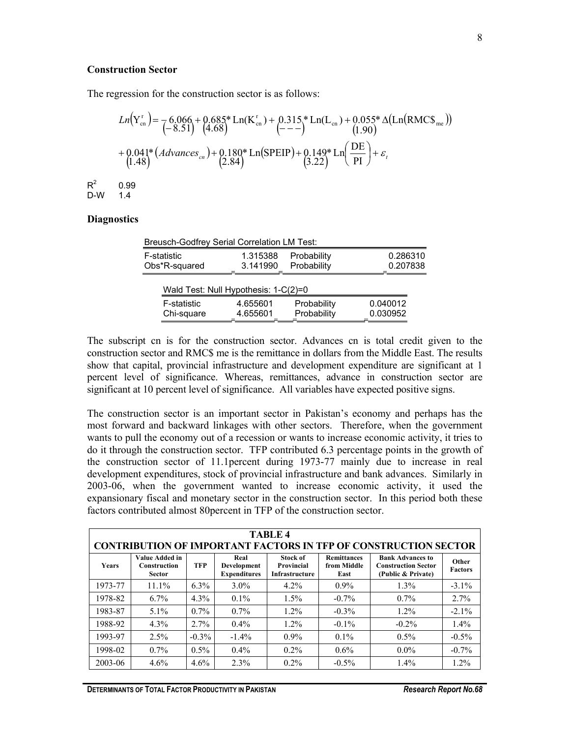#### **Construction Sector**

The regression for the construction sector is as follows:

$$
Ln(Y_{cn}^{r}) = \frac{6.066 + 0.685 \times Ln(K_{cn}^{r}) + 0.315 \times Ln(L_{cn}) + 0.055 \times \Delta(Ln(RMCS_{mc}))}{(-8.51)^{4.68}} + \frac{0.041 \times (Advances_{cn}) + 0.180 \times Ln(SPEIP) + 0.149 \times Ln(\frac{DE}{PI}) + \varepsilon_{t}}{(1.48)^{4.68}} + \frac{0.041 \times (Advances_{cn}) + 0.180 \times Ln(SPEIP) + 0.149 \times Ln(\frac{DE}{PI}) + \varepsilon_{t}}{(3.22)^{4.68}} + \frac{0.99 \times 1.49 \times 1.49 \times 1.49 \times 1.49 \times 1.49 \times 1.49 \times 1.49 \times 1.49 \times 1.49 \times 1.49 \times 1.49 \times 1.49 \times 1.49 \times 1.49 \times 1.49 \times 1.49 \times 1.49 \times 1.49 \times 1.49 \times 1.49 \times 1.49 \times 1.419 \times 1.419 \times 1.419 \times 1.419 \times 1.419 \times 1.419 \times 1.419 \times 1.419 \times 1.419 \times 1.419 \times 1.419 \times 1.419 \times 1.419 \times 1.419 \times 1.419 \times 1.419 \times 1.419 \times 1.419 \times 1.419 \times 1.419 \times 1.419 \times 1.419 \times 1.419 \times 1.419 \times 1.419 \times 1.419 \times 1.419 \times 1.419 \times 1.419 \times 1.419 \times 1.419 \times 1.419 \times 1.419 \times 1.419 \times 1.419 \times 1.419 \times 1.419 \times 1.419 \times 1.419 \times 1.419 \times 1.419 \times 1.419 \times 1.419 \times 1.419 \times 1.419 \times 1.419 \times 1.419 \times 1.419 \times 1
$$

#### **Diagnostics**

 $R^2$ 

| <b>Breusch-Godfrey Serial Correlation LM Test:</b> |                                      |                            |                      |
|----------------------------------------------------|--------------------------------------|----------------------------|----------------------|
| F-statistic                                        | 1.315388                             | Probability                | 0.286310             |
| Obs*R-squared                                      | 3.141990                             | Probability                | 0.207838             |
|                                                    | Wald Test: Null Hypothesis: 1-C(2)=0 |                            |                      |
| <b>F-statistic</b><br>Chi-square                   | 4.655601<br>4.655601                 | Probability<br>Probability | 0.040012<br>0.030952 |

The subscript cn is for the construction sector. Advances cn is total credit given to the construction sector and RMC\$ me is the remittance in dollars from the Middle East. The results show that capital, provincial infrastructure and development expenditure are significant at 1 percent level of significance. Whereas, remittances, advance in construction sector are significant at 10 percent level of significance. All variables have expected positive signs.

The construction sector is an important sector in Pakistan's economy and perhaps has the most forward and backward linkages with other sectors. Therefore, when the government wants to pull the economy out of a recession or wants to increase economic activity, it tries to do it through the construction sector. TFP contributed 6.3 percentage points in the growth of the construction sector of 11.1percent during 1973-77 mainly due to increase in real development expenditures, stock of provincial infrastructure and bank advances. Similarly in 2003-06, when the government wanted to increase economic activity, it used the expansionary fiscal and monetary sector in the construction sector. In this period both these factors contributed almost 80percent in TFP of the construction sector.

|              | <b>TABLE 4</b><br><b>CONTRIBUTION OF IMPORTANT FACTORS IN TFP OF CONSTRUCTION SECTOR</b> |            |                                            |                                                 |                                           |                                                                             |                         |  |  |
|--------------|------------------------------------------------------------------------------------------|------------|--------------------------------------------|-------------------------------------------------|-------------------------------------------|-----------------------------------------------------------------------------|-------------------------|--|--|
| <b>Years</b> | Value Added in<br>Construction<br><b>Sector</b>                                          | <b>TFP</b> | Real<br>Development<br><b>Expenditures</b> | <b>Stock of</b><br>Provincial<br>Infrastructure | <b>Remittances</b><br>from Middle<br>East | <b>Bank Advances to</b><br><b>Construction Sector</b><br>(Public & Private) | Other<br><b>Factors</b> |  |  |
| 1973-77      | $11.1\%$                                                                                 | $6.3\%$    | $3.0\%$                                    | $4.2\%$                                         | $0.9\%$                                   | 1.3%                                                                        | $-3.1\%$                |  |  |
| 1978-82      | $6.7\%$                                                                                  | $4.3\%$    | $0.1\%$                                    | 1.5%                                            | $-0.7\%$                                  | $0.7\%$                                                                     | 2.7%                    |  |  |
| 1983-87      | $5.1\%$                                                                                  | $0.7\%$    | $0.7\%$                                    | $1.2\%$                                         | $-0.3%$                                   | 1.2%                                                                        | $-2.1%$                 |  |  |
| 1988-92      | 4.3%                                                                                     | $2.7\%$    | $0.4\%$                                    | 1.2%                                            | $-0.1\%$                                  | $-0.2\%$                                                                    | 1.4%                    |  |  |
| 1993-97      | 2.5%                                                                                     | $-0.3\%$   | $-1.4\%$                                   | $0.9\%$                                         | $0.1\%$                                   | $0.5\%$                                                                     | $-0.5\%$                |  |  |
| 1998-02      | $0.7\%$                                                                                  | $0.5\%$    | $0.4\%$                                    | $0.2\%$                                         | $0.6\%$                                   | $0.0\%$                                                                     | $-0.7\%$                |  |  |
| 2003-06      | $4.6\%$                                                                                  | 4.6%       | 2.3%                                       | $0.2\%$                                         | $-0.5\%$                                  | $1.4\%$                                                                     | $1.2\%$                 |  |  |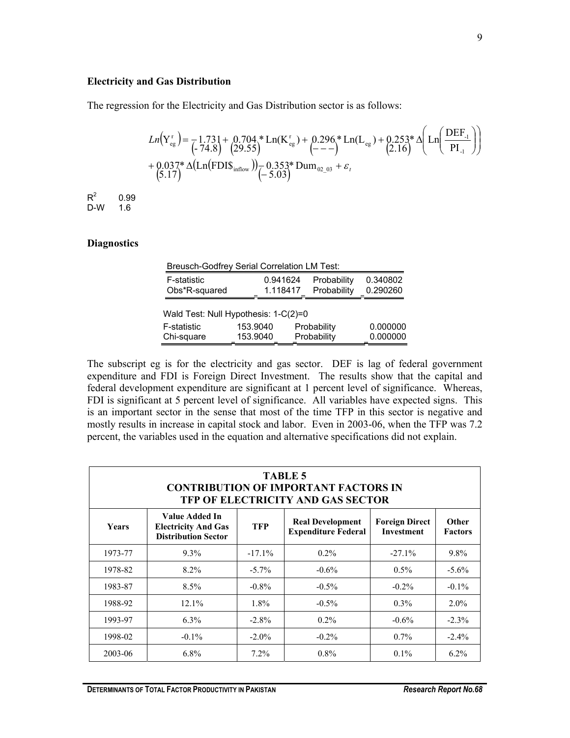#### **Electricity and Gas Distribution**

The regression for the Electricity and Gas Distribution sector is as follows:

$$
Ln(Y_{eg}^{r}) = \frac{1.731 + 0.704 * Ln(K_{eg}^{r}) + 0.296 * Ln(L_{eg}) + 0.253 * \Delta \left(Ln\left(\frac{DEF_{.1}}{PI_{.1}}\right)\right)}{-74.8 \left(\frac{29.55}{29.55}\right)} + \frac{0.295 * Ln(L_{eg}) + 0.253 * \Delta \left(Ln\left(\frac{DEF_{.1}}{PI_{.1}}\right)\right)}{-5.037 * \Delta \left(Ln\left(\text{FDIS}_{\text{inflow}}\right)\right)} - \frac{0.353 * Dum_{.02}}{-5.03} + \varepsilon_{t}
$$

 $R^2$  0.99 D-W 1.6

#### **Diagnostics**

|               | <b>Breusch-Godfrey Serial Correlation LM Test:</b> |             |          |
|---------------|----------------------------------------------------|-------------|----------|
| F-statistic   | 0.941624                                           | Probability | 0.340802 |
| Obs*R-squared | 1.118417                                           | Probability | 0.290260 |
|               | Wald Test: Null Hypothesis: 1-C(2)=0               |             |          |
| F-statistic   | 153.9040                                           | Probability | 0.000000 |
| Chi-square    | 153.9040                                           | Probability | 0.000000 |

The subscript eg is for the electricity and gas sector. DEF is lag of federal government expenditure and FDI is Foreign Direct Investment. The results show that the capital and federal development expenditure are significant at 1 percent level of significance. Whereas, FDI is significant at 5 percent level of significance. All variables have expected signs. This is an important sector in the sense that most of the time TFP in this sector is negative and mostly results in increase in capital stock and labor. Even in 2003-06, when the TFP was 7.2 percent, the variables used in the equation and alternative specifications did not explain.

|              | <b>TABLE 5</b><br><b>CONTRIBUTION OF IMPORTANT FACTORS IN</b><br>TFP OF ELECTRICITY AND GAS SECTOR |            |                                                       |                                            |                         |  |  |  |  |
|--------------|----------------------------------------------------------------------------------------------------|------------|-------------------------------------------------------|--------------------------------------------|-------------------------|--|--|--|--|
| <b>Years</b> | Value Added In<br><b>Electricity And Gas</b><br><b>Distribution Sector</b>                         | <b>TFP</b> | <b>Real Development</b><br><b>Expenditure Federal</b> | <b>Foreign Direct</b><br><b>Investment</b> | Other<br><b>Factors</b> |  |  |  |  |
| 1973-77      | $9.3\%$                                                                                            | $-17.1%$   | $0.2\%$                                               | $-27.1%$                                   | 9.8%                    |  |  |  |  |
| 1978-82      | $8.2\%$                                                                                            | $-5.7\%$   | $-0.6\%$                                              | $0.5\%$                                    | $-5.6\%$                |  |  |  |  |
| 1983-87      | $8.5\%$                                                                                            | $-0.8\%$   | $-0.5\%$                                              | $-0.2\%$                                   | $-0.1\%$                |  |  |  |  |
| 1988-92      | 12.1%                                                                                              | 1.8%       | $-0.5\%$                                              | $0.3\%$                                    | $2.0\%$                 |  |  |  |  |
| 1993-97      | $6.3\%$                                                                                            | $-2.8\%$   | $0.2\%$                                               | $-0.6\%$                                   | $-2.3\%$                |  |  |  |  |
| 1998-02      | $-0.1\%$                                                                                           | $-2.0\%$   | $-0.2\%$                                              | $0.7\%$                                    | $-2.4\%$                |  |  |  |  |
| 2003-06      | $6.8\%$                                                                                            | $7.2\%$    | $0.8\%$                                               | $0.1\%$                                    | $6.2\%$                 |  |  |  |  |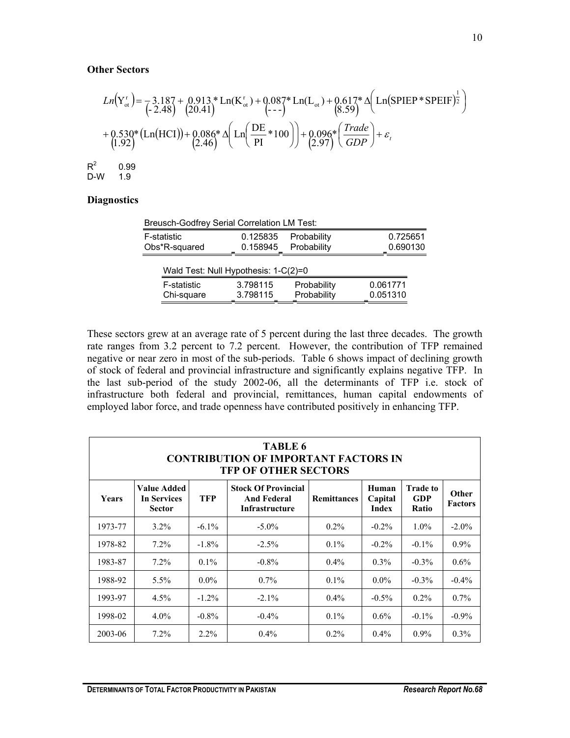#### **Other Sectors**

( ) ( )( ) ( ) ( ) ( ) ( ) ( ) ( ) ( ) ( ) *<sup>t</sup> GDP Trade Ln* + ε + <sup>+</sup> <sup>+</sup> <sup>∆</sup> <sup>=</sup> <sup>−</sup> <sup>+</sup> <sup>+</sup> <sup>+</sup> <sup>∆</sup> \* 2.97 \*100 0.096 PI DE \* Ln 2.46 \* Ln HCI 0.086 1.92 0.530 \* Ln SPIEP\*SPEIF 8.59 \*Ln(L ) 0.617 --- \*Ln(K ) 0.087 20.41 0.913 - 2.48 Y 3.187 <sup>2</sup> 1 ot r ot r ot R2 0.99 D-W 1.9

# **Diagnostics**

| <b>Breusch-Godfrey Serial Correlation LM Test:</b> |          |             |          |  |  |  |
|----------------------------------------------------|----------|-------------|----------|--|--|--|
| F-statistic                                        | 0.125835 | Probability | 0.725651 |  |  |  |
| Obs*R-squared                                      | 0.158945 | Probability | 0.690130 |  |  |  |
| Wald Test: Null Hypothesis: 1-C(2)=0               |          |             |          |  |  |  |
| F-statistic                                        | 3.798115 | Probability | 0.061771 |  |  |  |
| Chi-square                                         | 3.798115 | Probability | 0.051310 |  |  |  |

These sectors grew at an average rate of 5 percent during the last three decades. The growth rate ranges from 3.2 percent to 7.2 percent. However, the contribution of TFP remained negative or near zero in most of the sub-periods. Table 6 shows impact of declining growth of stock of federal and provincial infrastructure and significantly explains negative TFP. In the last sub-period of the study 2002-06, all the determinants of TFP i.e. stock of infrastructure both federal and provincial, remittances, human capital endowments of employed labor force, and trade openness have contributed positively in enhancing TFP.

| TABLE 6<br><b>CONTRIBUTION OF IMPORTANT FACTORS IN</b><br><b>TFP OF OTHER SECTORS</b>                                                                                                                                                                   |         |          |          |         |          |          |          |  |  |
|---------------------------------------------------------------------------------------------------------------------------------------------------------------------------------------------------------------------------------------------------------|---------|----------|----------|---------|----------|----------|----------|--|--|
| Value Added<br><b>Stock Of Provincial</b><br><b>Trade to</b><br>Human<br>Years<br><b>In Services</b><br><b>TFP</b><br><b>And Federal</b><br><b>Remittances</b><br>GDP<br>Capital<br><b>Factors</b><br>Infrastructure<br>Index<br>Ratio<br><b>Sector</b> |         |          |          |         |          |          |          |  |  |
| 1973-77                                                                                                                                                                                                                                                 | $3.2\%$ | $-6.1\%$ | $-5.0\%$ | $0.2\%$ | $-0.2\%$ | $1.0\%$  | $-2.0\%$ |  |  |
| 1978-82                                                                                                                                                                                                                                                 | $7.2\%$ | $-1.8\%$ | $-2.5\%$ | $0.1\%$ | $-0.2\%$ | $-0.1\%$ | $0.9\%$  |  |  |
| 1983-87                                                                                                                                                                                                                                                 | $7.2\%$ | $0.1\%$  | $-0.8\%$ | $0.4\%$ | $0.3\%$  | $-0.3\%$ | $0.6\%$  |  |  |
| 1988-92                                                                                                                                                                                                                                                 | $5.5\%$ | $0.0\%$  | $0.7\%$  | $0.1\%$ | $0.0\%$  | $-0.3\%$ | $-0.4\%$ |  |  |
| 1993-97                                                                                                                                                                                                                                                 | $4.5\%$ | $-1.2\%$ | $-2.1\%$ | $0.4\%$ | $-0.5\%$ | $0.2\%$  | $0.7\%$  |  |  |
| 1998-02                                                                                                                                                                                                                                                 | $4.0\%$ | $-0.8\%$ | $-0.4\%$ | $0.1\%$ | $0.6\%$  | $-0.1\%$ | $-0.9\%$ |  |  |
| 2003-06                                                                                                                                                                                                                                                 | $7.2\%$ | $2.2\%$  | $0.4\%$  | $0.2\%$ | $0.4\%$  | $0.9\%$  | $0.3\%$  |  |  |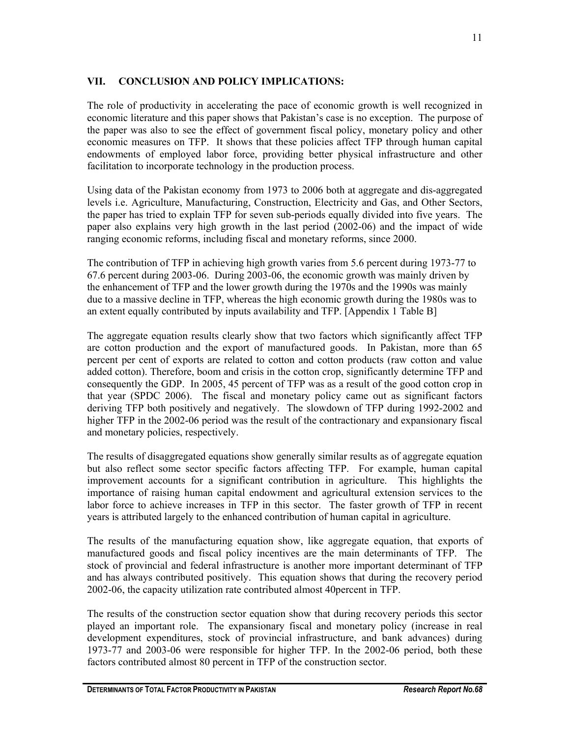# **VII. CONCLUSION AND POLICY IMPLICATIONS:**

The role of productivity in accelerating the pace of economic growth is well recognized in economic literature and this paper shows that Pakistan's case is no exception. The purpose of the paper was also to see the effect of government fiscal policy, monetary policy and other economic measures on TFP. It shows that these policies affect TFP through human capital endowments of employed labor force, providing better physical infrastructure and other facilitation to incorporate technology in the production process.

Using data of the Pakistan economy from 1973 to 2006 both at aggregate and dis-aggregated levels i.e. Agriculture, Manufacturing, Construction, Electricity and Gas, and Other Sectors, the paper has tried to explain TFP for seven sub-periods equally divided into five years. The paper also explains very high growth in the last period (2002-06) and the impact of wide ranging economic reforms, including fiscal and monetary reforms, since 2000.

The contribution of TFP in achieving high growth varies from 5.6 percent during 1973-77 to 67.6 percent during 2003-06. During 2003-06, the economic growth was mainly driven by the enhancement of TFP and the lower growth during the 1970s and the 1990s was mainly due to a massive decline in TFP, whereas the high economic growth during the 1980s was to an extent equally contributed by inputs availability and TFP. [Appendix 1 Table B]

The aggregate equation results clearly show that two factors which significantly affect TFP are cotton production and the export of manufactured goods. In Pakistan, more than 65 percent per cent of exports are related to cotton and cotton products (raw cotton and value added cotton). Therefore, boom and crisis in the cotton crop, significantly determine TFP and consequently the GDP. In 2005, 45 percent of TFP was as a result of the good cotton crop in that year (SPDC 2006). The fiscal and monetary policy came out as significant factors deriving TFP both positively and negatively. The slowdown of TFP during 1992-2002 and higher TFP in the 2002-06 period was the result of the contractionary and expansionary fiscal and monetary policies, respectively.

The results of disaggregated equations show generally similar results as of aggregate equation but also reflect some sector specific factors affecting TFP. For example, human capital improvement accounts for a significant contribution in agriculture. This highlights the importance of raising human capital endowment and agricultural extension services to the labor force to achieve increases in TFP in this sector. The faster growth of TFP in recent years is attributed largely to the enhanced contribution of human capital in agriculture.

The results of the manufacturing equation show, like aggregate equation, that exports of manufactured goods and fiscal policy incentives are the main determinants of TFP. The stock of provincial and federal infrastructure is another more important determinant of TFP and has always contributed positively. This equation shows that during the recovery period 2002-06, the capacity utilization rate contributed almost 40percent in TFP.

The results of the construction sector equation show that during recovery periods this sector played an important role. The expansionary fiscal and monetary policy (increase in real development expenditures, stock of provincial infrastructure, and bank advances) during 1973-77 and 2003-06 were responsible for higher TFP. In the 2002-06 period, both these factors contributed almost 80 percent in TFP of the construction sector.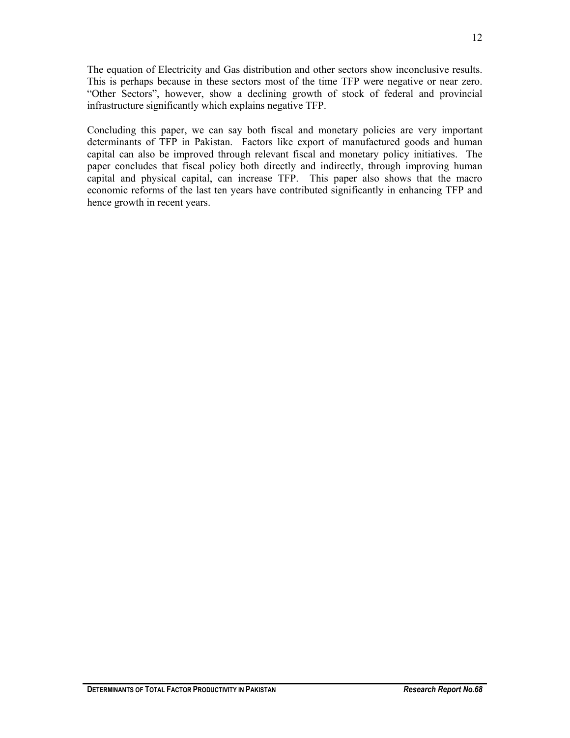The equation of Electricity and Gas distribution and other sectors show inconclusive results. This is perhaps because in these sectors most of the time TFP were negative or near zero. "Other Sectors", however, show a declining growth of stock of federal and provincial infrastructure significantly which explains negative TFP.

Concluding this paper, we can say both fiscal and monetary policies are very important determinants of TFP in Pakistan. Factors like export of manufactured goods and human capital can also be improved through relevant fiscal and monetary policy initiatives. The paper concludes that fiscal policy both directly and indirectly, through improving human capital and physical capital, can increase TFP. This paper also shows that the macro economic reforms of the last ten years have contributed significantly in enhancing TFP and hence growth in recent years.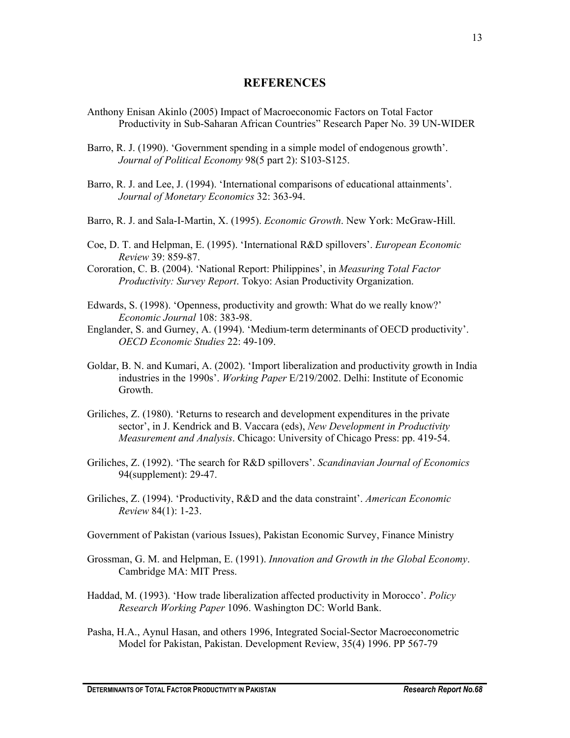### **REFERENCES**

- Anthony Enisan Akinlo (2005) Impact of Macroeconomic Factors on Total Factor Productivity in Sub-Saharan African Countries" Research Paper No. 39 UN-WIDER
- Barro, R. J. (1990). 'Government spending in a simple model of endogenous growth'. *Journal of Political Economy* 98(5 part 2): S103-S125.
- Barro, R. J. and Lee, J. (1994). 'International comparisons of educational attainments'. *Journal of Monetary Economics* 32: 363-94.
- Barro, R. J. and Sala-I-Martin, X. (1995). *Economic Growth*. New York: McGraw-Hill.
- Coe, D. T. and Helpman, E. (1995). 'International R&D spillovers'. *European Economic Review* 39: 859-87.
- Cororation, C. B. (2004). 'National Report: Philippines', in *Measuring Total Factor Productivity: Survey Report*. Tokyo: Asian Productivity Organization.
- Edwards, S. (1998). 'Openness, productivity and growth: What do we really know?' *Economic Journal* 108: 383-98.
- Englander, S. and Gurney, A. (1994). 'Medium-term determinants of OECD productivity'. *OECD Economic Studies* 22: 49-109.
- Goldar, B. N. and Kumari, A. (2002). 'Import liberalization and productivity growth in India industries in the 1990s'. *Working Paper* E/219/2002. Delhi: Institute of Economic Growth.
- Griliches, Z. (1980). 'Returns to research and development expenditures in the private sector', in J. Kendrick and B. Vaccara (eds), *New Development in Productivity Measurement and Analysis*. Chicago: University of Chicago Press: pp. 419-54.
- Griliches, Z. (1992). 'The search for R&D spillovers'. *Scandinavian Journal of Economics*  94(supplement): 29-47.
- Griliches, Z. (1994). 'Productivity, R&D and the data constraint'. *American Economic Review* 84(1): 1-23.
- Government of Pakistan (various Issues), Pakistan Economic Survey, Finance Ministry
- Grossman, G. M. and Helpman, E. (1991). *Innovation and Growth in the Global Economy*. Cambridge MA: MIT Press.
- Haddad, M. (1993). 'How trade liberalization affected productivity in Morocco'. *Policy Research Working Paper* 1096. Washington DC: World Bank.
- Pasha, H.A., Aynul Hasan, and others 1996, Integrated Social-Sector Macroeconometric Model for Pakistan, Pakistan. Development Review, 35(4) 1996. PP 567-79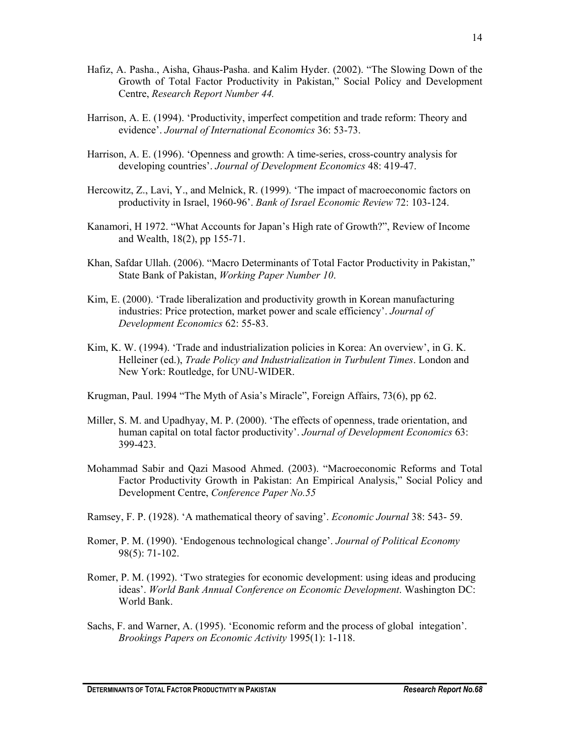- Hafiz, A. Pasha., Aisha, Ghaus-Pasha. and Kalim Hyder. (2002). "The Slowing Down of the Growth of Total Factor Productivity in Pakistan," Social Policy and Development Centre, *Research Report Number 44.*
- Harrison, A. E. (1994). 'Productivity, imperfect competition and trade reform: Theory and evidence'. *Journal of International Economics* 36: 53-73.
- Harrison, A. E. (1996). 'Openness and growth: A time-series, cross-country analysis for developing countries'. *Journal of Development Economics* 48: 419-47.
- Hercowitz, Z., Lavi, Y., and Melnick, R. (1999). 'The impact of macroeconomic factors on productivity in Israel, 1960-96'. *Bank of Israel Economic Review* 72: 103-124.
- Kanamori, H 1972. "What Accounts for Japan's High rate of Growth?", Review of Income and Wealth, 18(2), pp 155-71.
- Khan, Safdar Ullah. (2006). "Macro Determinants of Total Factor Productivity in Pakistan," State Bank of Pakistan, *Working Paper Number 10*.
- Kim, E. (2000). 'Trade liberalization and productivity growth in Korean manufacturing industries: Price protection, market power and scale efficiency'. *Journal of Development Economics* 62: 55-83.
- Kim, K. W. (1994). 'Trade and industrialization policies in Korea: An overview', in G. K. Helleiner (ed.), *Trade Policy and Industrialization in Turbulent Times*. London and New York: Routledge, for UNU-WIDER.
- Krugman, Paul. 1994 "The Myth of Asia's Miracle", Foreign Affairs, 73(6), pp 62.
- Miller, S. M. and Upadhyay, M. P. (2000). 'The effects of openness, trade orientation, and human capital on total factor productivity'. *Journal of Development Economics* 63: 399-423.
- Mohammad Sabir and Qazi Masood Ahmed. (2003). "Macroeconomic Reforms and Total Factor Productivity Growth in Pakistan: An Empirical Analysis," Social Policy and Development Centre, *Conference Paper No.55*
- Ramsey, F. P. (1928). 'A mathematical theory of saving'. *Economic Journal* 38: 543- 59.
- Romer, P. M. (1990). 'Endogenous technological change'. *Journal of Political Economy*  98(5): 71-102.
- Romer, P. M. (1992). 'Two strategies for economic development: using ideas and producing ideas'. *World Bank Annual Conference on Economic Development*. Washington DC: World Bank.
- Sachs, F. and Warner, A. (1995). 'Economic reform and the process of global integation'. *Brookings Papers on Economic Activity* 1995(1): 1-118.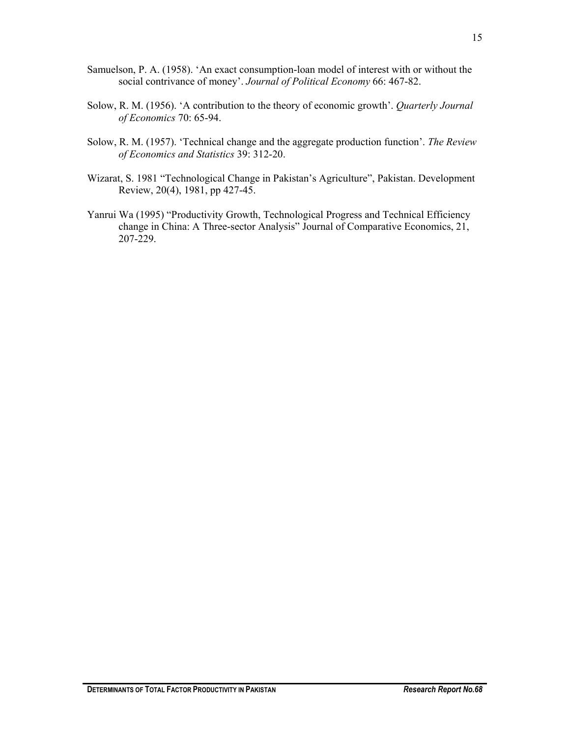- Samuelson, P. A. (1958). 'An exact consumption-loan model of interest with or without the social contrivance of money'. *Journal of Political Economy* 66: 467-82.
- Solow, R. M. (1956). 'A contribution to the theory of economic growth'. *Quarterly Journal of Economics* 70: 65-94.
- Solow, R. M. (1957). 'Technical change and the aggregate production function'. *The Review of Economics and Statistics* 39: 312-20.
- Wizarat, S. 1981 "Technological Change in Pakistan's Agriculture", Pakistan. Development Review, 20(4), 1981, pp 427-45.
- Yanrui Wa (1995) "Productivity Growth, Technological Progress and Technical Efficiency change in China: A Three-sector Analysis" Journal of Comparative Economics, 21, 207-229.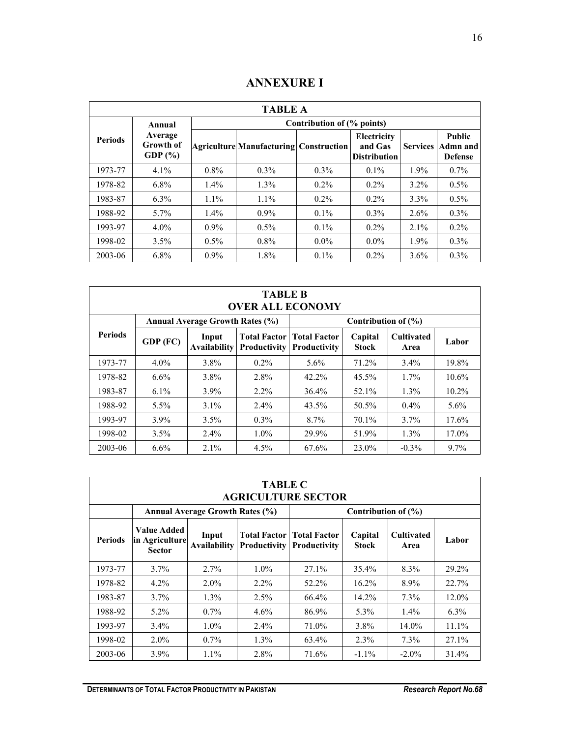# **ANNEXURE I**

|                | <b>TABLE A</b>                             |                            |                                          |         |                                               |                 |                                             |  |  |  |
|----------------|--------------------------------------------|----------------------------|------------------------------------------|---------|-----------------------------------------------|-----------------|---------------------------------------------|--|--|--|
|                | Annual                                     | Contribution of (% points) |                                          |         |                                               |                 |                                             |  |  |  |
| <b>Periods</b> | Average<br><b>Growth of</b><br>GDP $(\% )$ |                            | Agriculture Manufacturing   Construction |         | Electricity<br>and Gas<br><b>Distribution</b> | <b>Services</b> | <b>Public</b><br>Admn and<br><b>Defense</b> |  |  |  |
| 1973-77        | 4.1%                                       | $0.8\%$                    | $0.3\%$                                  | $0.3\%$ | $0.1\%$                                       | 1.9%            | $0.7\%$                                     |  |  |  |
| 1978-82        | $6.8\%$                                    | $1.4\%$                    | $1.3\%$                                  | $0.2\%$ | $0.2\%$                                       | $3.2\%$         | $0.5\%$                                     |  |  |  |
| 1983-87        | $6.3\%$                                    | $1.1\%$                    | $1.1\%$                                  | $0.2\%$ | $0.2\%$                                       | $3.3\%$         | $0.5\%$                                     |  |  |  |
| 1988-92        | $5.7\%$                                    | $1.4\%$                    | $0.9\%$                                  | $0.1\%$ | $0.3\%$                                       | $2.6\%$         | $0.3\%$                                     |  |  |  |
| 1993-97        | $4.0\%$                                    | $0.9\%$                    | $0.5\%$                                  | $0.1\%$ | $0.2\%$                                       | $2.1\%$         | $0.2\%$                                     |  |  |  |
| 1998-02        | 3.5%                                       | $0.5\%$                    | $0.8\%$                                  | $0.0\%$ | $0.0\%$                                       | $1.9\%$         | $0.3\%$                                     |  |  |  |
| 2003-06        | 6.8%                                       | $0.9\%$                    | 1.8%                                     | $0.1\%$ | $0.2\%$                                       | $3.6\%$         | $0.3\%$                                     |  |  |  |

| <b>TABLE B</b><br><b>OVER ALL ECONOMY</b>                     |          |                              |                                            |                                            |                         |                           |          |  |
|---------------------------------------------------------------|----------|------------------------------|--------------------------------------------|--------------------------------------------|-------------------------|---------------------------|----------|--|
| <b>Annual Average Growth Rates (%)</b><br>Contribution of (%) |          |                              |                                            |                                            |                         |                           |          |  |
| <b>Periods</b>                                                | GDP (FC) | Input<br><b>Availability</b> | <b>Total Factor</b><br><b>Productivity</b> | <b>Total Factor</b><br><b>Productivity</b> | Capital<br><b>Stock</b> | <b>Cultivated</b><br>Area | Labor    |  |
| 1973-77                                                       | $4.0\%$  | 3.8%                         | $0.2\%$                                    | $5.6\%$                                    | 71.2%                   | $3.4\%$                   | 19.8%    |  |
| 1978-82                                                       | $6.6\%$  | 3.8%                         | 2.8%                                       | 42.2%                                      | 45.5%                   | $1.7\%$                   | $10.6\%$ |  |
| 1983-87                                                       | $6.1\%$  | $3.9\%$                      | $2.2\%$                                    | 36.4%                                      | 52.1%                   | $1.3\%$                   | $10.2\%$ |  |
| 1988-92                                                       | $5.5\%$  | $3.1\%$                      | $2.4\%$                                    | 43.5%                                      | 50.5%                   | $0.4\%$                   | $5.6\%$  |  |
| 1993-97                                                       | $3.9\%$  | 3.5%                         | $0.3\%$                                    | 8.7%                                       | 70.1%                   | 3.7%                      | 17.6%    |  |
| 1998-02                                                       | $3.5\%$  | $2.4\%$                      | $1.0\%$                                    | 29.9%                                      | 51.9%                   | 1.3%                      | 17.0%    |  |
| 2003-06                                                       | $6.6\%$  | $2.1\%$                      | $4.5\%$                                    | 67.6%                                      | 23.0%                   | $-0.3\%$                  | $9.7\%$  |  |

| <b>TABLE C</b><br><b>AGRICULTURE SECTOR</b> |                                                                                |                                        |                     |                                                    |                         |                           |          |  |
|---------------------------------------------|--------------------------------------------------------------------------------|----------------------------------------|---------------------|----------------------------------------------------|-------------------------|---------------------------|----------|--|
|                                             |                                                                                | <b>Annual Average Growth Rates (%)</b> |                     |                                                    | Contribution of $(\% )$ |                           |          |  |
| <b>Periods</b>                              | Value Added<br>Input<br>in Agriculture<br><b>Availability</b><br><b>Sector</b> |                                        | <b>Productivity</b> | <b>Total Factor   Total Factor</b><br>Productivity | Capital<br><b>Stock</b> | <b>Cultivated</b><br>Area | Labor    |  |
| 1973-77                                     | $3.7\%$                                                                        | $2.7\%$                                | $1.0\%$             | $27.1\%$                                           | 35.4%                   | 8.3%                      | 29.2%    |  |
| 1978-82                                     | $4.2\%$                                                                        | $2.0\%$                                | $2.2\%$             | 52.2%                                              | 16.2%                   | 8.9%                      | 22.7%    |  |
| 1983-87                                     | $3.7\%$                                                                        | $1.3\%$                                | 2.5%                | 66.4%                                              | 14.2%                   | 7.3%                      | $12.0\%$ |  |
| 1988-92                                     | $5.2\%$                                                                        | $0.7\%$                                | $4.6\%$             | 86.9%                                              | $5.3\%$                 | $1.4\%$                   | $6.3\%$  |  |
| 1993-97                                     | $3.4\%$                                                                        | $1.0\%$                                | $2.4\%$             | 71.0%                                              | 3.8%                    | 14.0%                     | 11.1%    |  |
| 1998-02                                     | $2.0\%$                                                                        | $0.7\%$                                | $1.3\%$             | 63.4%                                              | 2.3%                    | $7.3\%$                   | 27.1%    |  |
| 2003-06                                     | $3.9\%$                                                                        | $1.1\%$                                | 2.8%                | 71.6%                                              | $-1.1\%$                | $-2.0\%$                  | 31.4%    |  |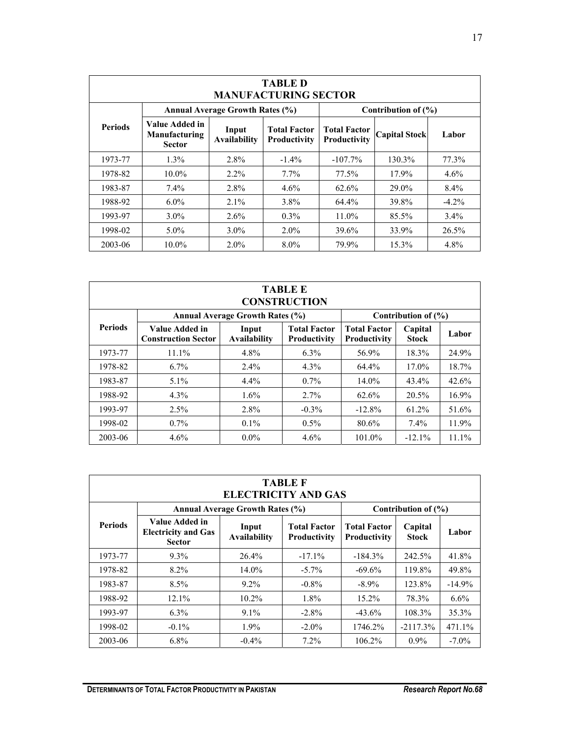| <b>TABLE D</b><br><b>MANUFACTURING SECTOR</b> |                                                         |                                        |                                     |                                     |                         |          |  |  |
|-----------------------------------------------|---------------------------------------------------------|----------------------------------------|-------------------------------------|-------------------------------------|-------------------------|----------|--|--|
|                                               |                                                         | <b>Annual Average Growth Rates (%)</b> |                                     |                                     | Contribution of $(\% )$ |          |  |  |
| <b>Periods</b>                                | Value Added in<br><b>Manufacturing</b><br><b>Sector</b> | Input<br><b>Availability</b>           | <b>Total Factor</b><br>Productivity | <b>Total Factor</b><br>Productivity | <b>Capital Stock</b>    | Labor    |  |  |
| 1973-77                                       | $1.3\%$                                                 | 2.8%                                   | $-1.4\%$                            | $-107.7\%$                          | 130.3%                  | 77.3%    |  |  |
| 1978-82                                       | $10.0\%$                                                | $2.2\%$                                | $7.7\%$                             | 77.5%                               | 17.9%                   | $4.6\%$  |  |  |
| 1983-87                                       | 7.4%                                                    | 2.8%                                   | $4.6\%$                             | 62.6%                               | 29.0%                   | $8.4\%$  |  |  |
| 1988-92                                       | $6.0\%$                                                 | 2.1%                                   | 3.8%                                | 64.4%                               | 39.8%                   | $-4.2\%$ |  |  |
| 1993-97                                       | $3.0\%$                                                 | $2.6\%$                                | $0.3\%$                             | 11.0%                               | 85.5%                   | $3.4\%$  |  |  |
| 1998-02                                       | $5.0\%$                                                 | $3.0\%$                                | $2.0\%$                             | 39.6%                               | 33.9%                   | 26.5%    |  |  |
| 2003-06                                       | $10.0\%$                                                | $2.0\%$                                | $8.0\%$                             | 79.9%                               | 15.3%                   | 4.8%     |  |  |

| <b>TABLE E</b><br><b>CONSTRUCTION</b>                             |                                              |                              |                                     |                                            |                         |       |  |  |
|-------------------------------------------------------------------|----------------------------------------------|------------------------------|-------------------------------------|--------------------------------------------|-------------------------|-------|--|--|
| <b>Annual Average Growth Rates (%)</b><br>Contribution of $(\% )$ |                                              |                              |                                     |                                            |                         |       |  |  |
| <b>Periods</b>                                                    | Value Added in<br><b>Construction Sector</b> | Input<br><b>Availability</b> | <b>Total Factor</b><br>Productivity | <b>Total Factor</b><br><b>Productivity</b> | Capital<br><b>Stock</b> | Labor |  |  |
| 1973-77                                                           | $11.1\%$                                     | 4.8%                         | $6.3\%$                             | 56.9%                                      | 18.3%                   | 24.9% |  |  |
| 1978-82                                                           | $6.7\%$                                      | $2.4\%$                      | $4.3\%$                             | 64.4%                                      | 17.0%                   | 18.7% |  |  |
| 1983-87                                                           | $5.1\%$                                      | $4.4\%$                      | $0.7\%$                             | 14.0%                                      | 43.4%                   | 42.6% |  |  |
| 1988-92                                                           | $4.3\%$                                      | 1.6%                         | $2.7\%$                             | 62.6%                                      | 20.5%                   | 16.9% |  |  |
| 1993-97                                                           | 2.5%                                         | 2.8%                         | $-0.3\%$                            | $-12.8%$                                   | 61.2%                   | 51.6% |  |  |
| 1998-02                                                           | $0.7\%$                                      | $0.1\%$                      | $0.5\%$                             | 80.6%                                      | $7.4\%$                 | 11.9% |  |  |
| 2003-06                                                           | $4.6\%$                                      | $0.0\%$                      | $4.6\%$                             | 101.0%                                     | $-12.1%$                | 11.1% |  |  |

| <b>TABLE F</b><br><b>ELECTRICITY AND GAS</b> |                                                               |                                        |                                            |                                     |                         |          |  |  |
|----------------------------------------------|---------------------------------------------------------------|----------------------------------------|--------------------------------------------|-------------------------------------|-------------------------|----------|--|--|
|                                              |                                                               | <b>Annual Average Growth Rates (%)</b> |                                            |                                     | Contribution of $(\% )$ |          |  |  |
| <b>Periods</b>                               | Value Added in<br><b>Electricity and Gas</b><br><b>Sector</b> | Input<br><b>Availability</b>           | <b>Total Factor</b><br><b>Productivity</b> | <b>Total Factor</b><br>Productivity | Capital<br><b>Stock</b> | Labor    |  |  |
| 1973-77                                      | $9.3\%$                                                       | $26.4\%$                               | $-17.1%$                                   | $-184.3%$                           | 242.5%                  | 41.8%    |  |  |
| 1978-82                                      | $8.2\%$                                                       | $14.0\%$                               | $-5.7\%$                                   | $-69.6%$                            | 119.8%                  | 49.8%    |  |  |
| 1983-87                                      | 8.5%                                                          | $9.2\%$                                | $-0.8\%$                                   | $-8.9\%$                            | 123.8%                  | $-14.9%$ |  |  |
| 1988-92                                      | 12.1%                                                         | $10.2\%$                               | $1.8\%$                                    | 15.2%                               | 78.3%                   | $6.6\%$  |  |  |
| 1993-97                                      | $6.3\%$                                                       | $9.1\%$                                | $-2.8\%$                                   | $-43.6%$                            | 108.3%                  | 35.3%    |  |  |
| 1998-02                                      | $-0.1\%$                                                      | $1.9\%$                                | $-2.0\%$                                   | 1746.2%                             | $-2117.3%$              | 471.1%   |  |  |
| 2003-06                                      | $6.8\%$                                                       | $-0.4\%$                               | $7.2\%$                                    | 106.2%                              | $0.9\%$                 | $-7.0\%$ |  |  |